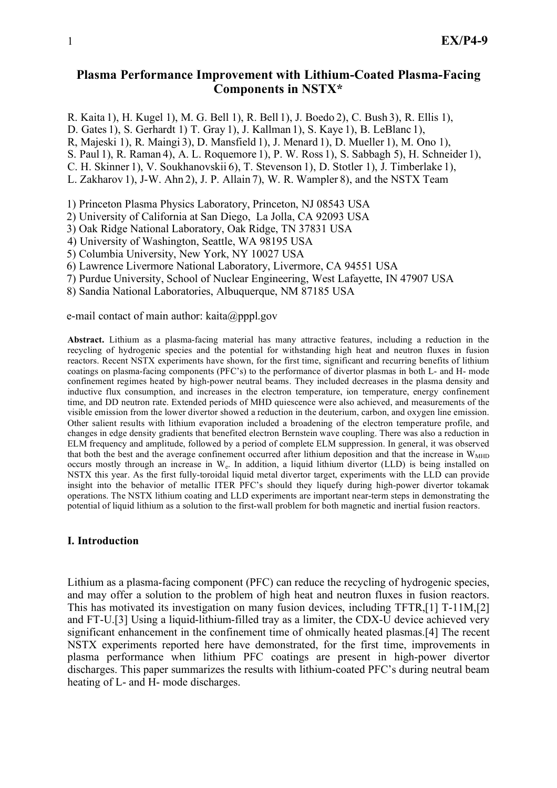# **Plasma Performance Improvement with Lithium-Coated Plasma-Facing Components in NSTX\***

R. Kaita 1), H. Kugel 1), M. G. Bell 1), R. Bell 1), J. Boedo 2), C. Bush 3), R. Ellis 1),

D. Gates 1), S. Gerhardt 1) T. Gray 1), J. Kallman 1), S. Kaye 1), B. LeBlanc 1),

R, Majeski 1), R. Maingi 3), D. Mansfield 1), J. Menard 1), D. Mueller 1), M. Ono 1),

S. Paul 1), R. Raman 4), A. L. Roquemore 1), P. W. Ross 1), S. Sabbagh 5), H. Schneider 1),

C. H. Skinner 1), V. Soukhanovskii 6), T. Stevenson 1), D. Stotler 1), J. Timberlake 1),

L. Zakharov 1), J-W. Ahn 2), J. P. Allain 7), W. R. Wampler 8), and the NSTX Team

1) Princeton Plasma Physics Laboratory, Princeton, NJ 08543 USA

2) University of California at San Diego, La Jolla, CA 92093 USA

3) Oak Ridge National Laboratory, Oak Ridge, TN 37831 USA

4) University of Washington, Seattle, WA 98195 USA

5) Columbia University, New York, NY 10027 USA

6) Lawrence Livermore National Laboratory, Livermore, CA 94551 USA

7) Purdue University, School of Nuclear Engineering, West Lafayette, IN 47907 USA

8) Sandia National Laboratories, Albuquerque, NM 87185 USA

e-mail contact of main author: kaita@pppl.gov

**Abstract.** Lithium as a plasma-facing material has many attractive features, including a reduction in the recycling of hydrogenic species and the potential for withstanding high heat and neutron fluxes in fusion reactors. Recent NSTX experiments have shown, for the first time, significant and recurring benefits of lithium coatings on plasma-facing components (PFC's) to the performance of divertor plasmas in both L- and H- mode confinement regimes heated by high-power neutral beams. They included decreases in the plasma density and inductive flux consumption, and increases in the electron temperature, ion temperature, energy confinement time, and DD neutron rate. Extended periods of MHD quiescence were also achieved, and measurements of the visible emission from the lower divertor showed a reduction in the deuterium, carbon, and oxygen line emission. Other salient results with lithium evaporation included a broadening of the electron temperature profile, and changes in edge density gradients that benefited electron Bernstein wave coupling. There was also a reduction in ELM frequency and amplitude, followed by a period of complete ELM suppression. In general, it was observed that both the best and the average confinement occurred after lithium deposition and that the increase in  $W<sub>MHD</sub>$ occurs mostly through an increase in We. In addition, a liquid lithium divertor (LLD) is being installed on NSTX this year. As the first fully-toroidal liquid metal divertor target, experiments with the LLD can provide insight into the behavior of metallic ITER PFC's should they liquefy during high-power divertor tokamak operations. The NSTX lithium coating and LLD experiments are important near-term steps in demonstrating the potential of liquid lithium as a solution to the first-wall problem for both magnetic and inertial fusion reactors.

## **I. Introduction**

Lithium as a plasma-facing component (PFC) can reduce the recycling of hydrogenic species, and may offer a solution to the problem of high heat and neutron fluxes in fusion reactors. This has motivated its investigation on many fusion devices, including TFTR,[1] T-11M,[2] and FT-U.[3] Using a liquid-lithium-filled tray as a limiter, the CDX-U device achieved very significant enhancement in the confinement time of ohmically heated plasmas.[4] The recent NSTX experiments reported here have demonstrated, for the first time, improvements in plasma performance when lithium PFC coatings are present in high-power divertor discharges. This paper summarizes the results with lithium-coated PFC's during neutral beam heating of L- and H- mode discharges.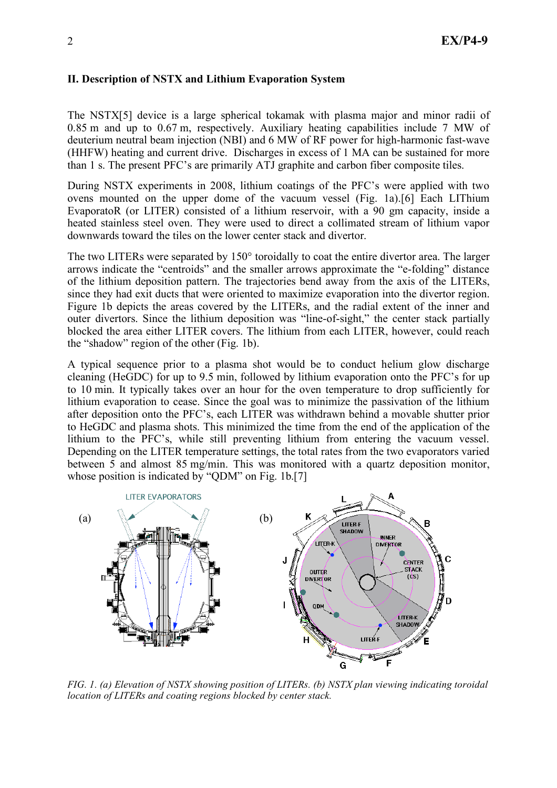## **II. Description of NSTX and Lithium Evaporation System**

The NSTX[5] device is a large spherical tokamak with plasma major and minor radii of 0.85 m and up to 0.67 m, respectively. Auxiliary heating capabilities include 7 MW of deuterium neutral beam injection (NBI) and 6 MW of RF power for high-harmonic fast-wave (HHFW) heating and current drive. Discharges in excess of 1 MA can be sustained for more than 1 s. The present PFC's are primarily ATJ graphite and carbon fiber composite tiles.

During NSTX experiments in 2008, lithium coatings of the PFC's were applied with two ovens mounted on the upper dome of the vacuum vessel (Fig. 1a).[6] Each LIThium EvaporatoR (or LITER) consisted of a lithium reservoir, with a 90 gm capacity, inside a heated stainless steel oven. They were used to direct a collimated stream of lithium vapor downwards toward the tiles on the lower center stack and divertor.

The two LITERs were separated by 150° toroidally to coat the entire divertor area. The larger arrows indicate the "centroids" and the smaller arrows approximate the "e-folding" distance of the lithium deposition pattern. The trajectories bend away from the axis of the LITERs, since they had exit ducts that were oriented to maximize evaporation into the divertor region. Figure 1b depicts the areas covered by the LITERs, and the radial extent of the inner and outer divertors. Since the lithium deposition was "line-of-sight," the center stack partially blocked the area either LITER covers. The lithium from each LITER, however, could reach the "shadow" region of the other (Fig. 1b).

A typical sequence prior to a plasma shot would be to conduct helium glow discharge cleaning (HeGDC) for up to 9.5 min, followed by lithium evaporation onto the PFC's for up to 10 min. It typically takes over an hour for the oven temperature to drop sufficiently for lithium evaporation to cease. Since the goal was to minimize the passivation of the lithium after deposition onto the PFC's, each LITER was withdrawn behind a movable shutter prior to HeGDC and plasma shots. This minimized the time from the end of the application of the lithium to the PFC's, while still preventing lithium from entering the vacuum vessel. Depending on the LITER temperature settings, the total rates from the two evaporators varied between 5 and almost 85 mg/min. This was monitored with a quartz deposition monitor, whose position is indicated by "ODM" on Fig. 1b.[7]



*FIG. 1. (a) Elevation of NSTX showing position of LITERs. (b) NSTX plan viewing indicating toroidal location of LITERs and coating regions blocked by center stack.*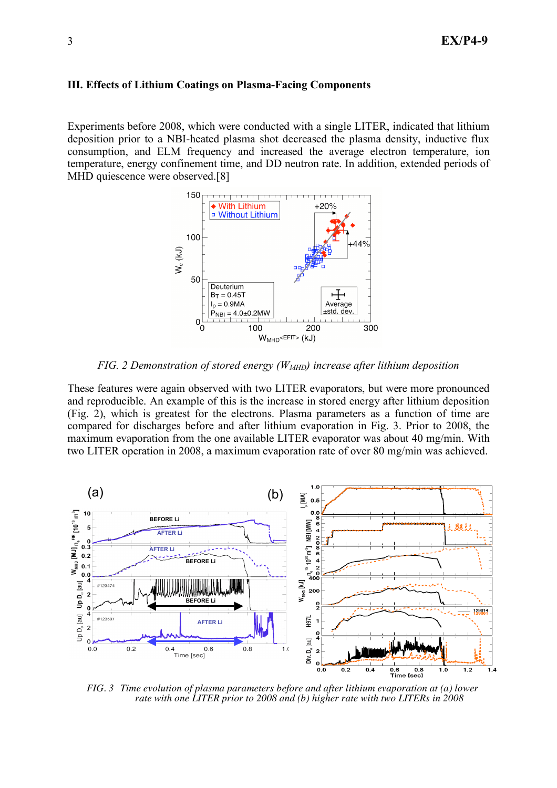#### **III. Effects of Lithium Coatings on Plasma-Facing Components**

Experiments before 2008, which were conducted with a single LITER, indicated that lithium deposition prior to a NBI-heated plasma shot decreased the plasma density, inductive flux consumption, and ELM frequency and increased the average electron temperature, ion temperature, energy confinement time, and DD neutron rate. In addition, extended periods of MHD quiescence were observed.<sup>[8]</sup>



*FIG.* 2 Demonstration of stored energy ( $W<sub>MHD</sub>$ ) increase after lithium deposition

These features were again observed with two LITER evaporators, but were more pronounced and reproducible. An example of this is the increase in stored energy after lithium deposition (Fig. 2), which is greatest for the electrons. Plasma parameters as a function of time are compared for discharges before and after lithium evaporation in Fig. 3. Prior to 2008, the maximum evaporation from the one available LITER evaporator was about 40 mg/min. With two LITER operation in 2008, a maximum evaporation rate of over 80 mg/min was achieved.



*FIG. 3 Time evolution of plasma parameters before and after lithium evaporation at (a) lower rate with one LITER prior to 2008 and (b) higher rate with two LITERs in 2008*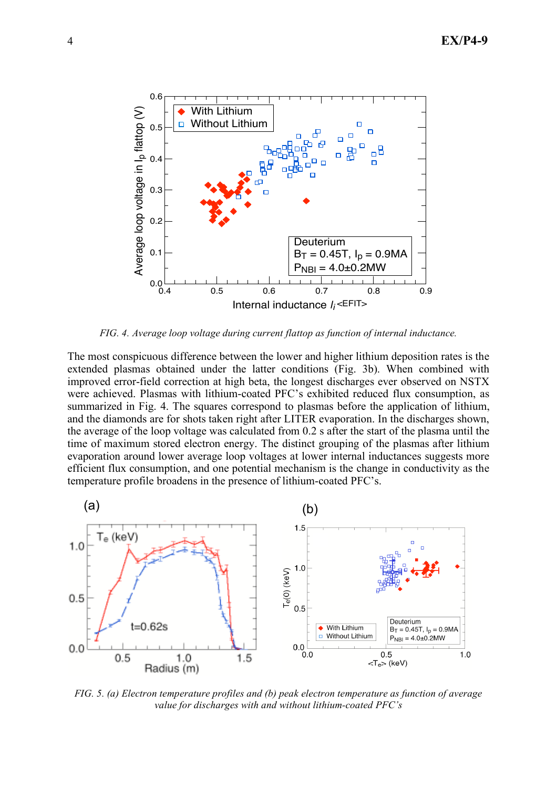

*FIG. 4. Average loop voltage during current flattop as function of internal inductance.*

The most conspicuous difference between the lower and higher lithium deposition rates is the extended plasmas obtained under the latter conditions (Fig. 3b). When combined with improved error-field correction at high beta, the longest discharges ever observed on NSTX were achieved. Plasmas with lithium-coated PFC's exhibited reduced flux consumption, as summarized in Fig. 4. The squares correspond to plasmas before the application of lithium, and the diamonds are for shots taken right after LITER evaporation. In the discharges shown, the average of the loop voltage was calculated from 0.2 s after the start of the plasma until the time of maximum stored electron energy. The distinct grouping of the plasmas after lithium evaporation around lower average loop voltages at lower internal inductances suggests more efficient flux consumption, and one potential mechanism is the change in conductivity as the temperature profile broadens in the presence of lithium-coated PFC's.



*FIG. 5. (a) Electron temperature profiles and (b) peak electron temperature as function of average value for discharges with and without lithium-coated PFC's*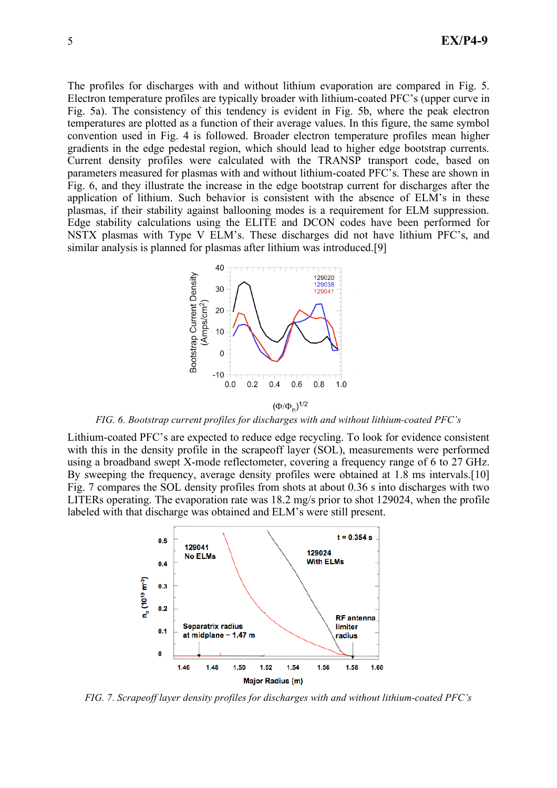The profiles for discharges with and without lithium evaporation are compared in Fig. 5. Electron temperature profiles are typically broader with lithium-coated PFC's (upper curve in Fig. 5a). The consistency of this tendency is evident in Fig. 5b, where the peak electron temperatures are plotted as a function of their average values. In this figure, the same symbol convention used in Fig. 4 is followed. Broader electron temperature profiles mean higher gradients in the edge pedestal region, which should lead to higher edge bootstrap currents. Current density profiles were calculated with the TRANSP transport code, based on parameters measured for plasmas with and without lithium-coated PFC's. These are shown in Fig. 6, and they illustrate the increase in the edge bootstrap current for discharges after the application of lithium. Such behavior is consistent with the absence of ELM's in these plasmas, if their stability against ballooning modes is a requirement for ELM suppression. Edge stability calculations using the ELITE and DCON codes have been performed for NSTX plasmas with Type V ELM's. These discharges did not have lithium PFC's, and similar analysis is planned for plasmas after lithium was introduced.[9]



*FIG. 6. Bootstrap current profiles for discharges with and without lithium-coated PFC's*

Lithium-coated PFC's are expected to reduce edge recycling. To look for evidence consistent with this in the density profile in the scrapeoff layer (SOL), measurements were performed using a broadband swept X-mode reflectometer, covering a frequency range of 6 to 27 GHz. By sweeping the frequency, average density profiles were obtained at 1.8 ms intervals.[10] Fig. 7 compares the SOL density profiles from shots at about 0.36 s into discharges with two LITERs operating. The evaporation rate was 18.2 mg/s prior to shot 129024, when the profile labeled with that discharge was obtained and ELM's were still present.



*FIG. 7. Scrapeoff layer density profiles for discharges with and without lithium-coated PFC's*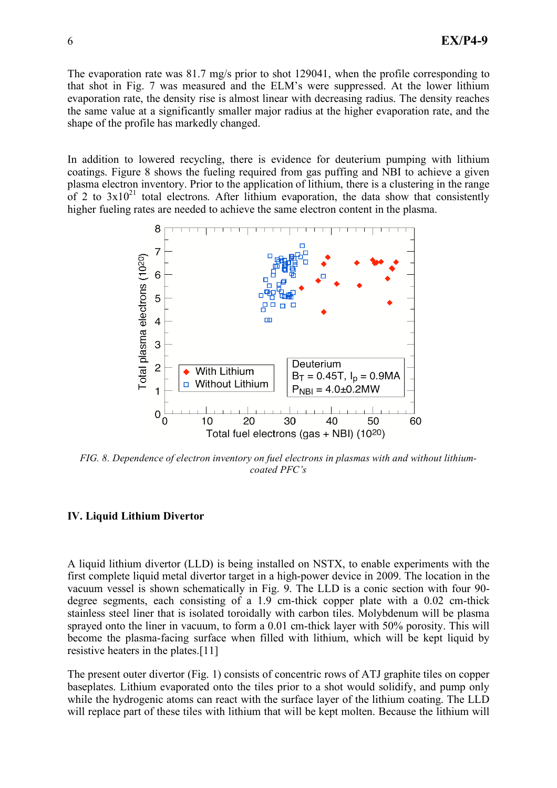The evaporation rate was 81.7 mg/s prior to shot 129041, when the profile corresponding to that shot in Fig. 7 was measured and the ELM's were suppressed. At the lower lithium evaporation rate, the density rise is almost linear with decreasing radius. The density reaches the same value at a significantly smaller major radius at the higher evaporation rate, and the shape of the profile has markedly changed.

In addition to lowered recycling, there is evidence for deuterium pumping with lithium coatings. Figure 8 shows the fueling required from gas puffing and NBI to achieve a given plasma electron inventory. Prior to the application of lithium, there is a clustering in the range of 2 to  $3x10^{21}$  total electrons. After lithium evaporation, the data show that consistently higher fueling rates are needed to achieve the same electron content in the plasma.



*FIG. 8. Dependence of electron inventory on fuel electrons in plasmas with and without lithiumcoated PFC's*

### **IV. Liquid Lithium Divertor**

A liquid lithium divertor (LLD) is being installed on NSTX, to enable experiments with the first complete liquid metal divertor target in a high-power device in 2009. The location in the vacuum vessel is shown schematically in Fig. 9. The LLD is a conic section with four 90 degree segments, each consisting of a 1.9 cm-thick copper plate with a 0.02 cm-thick stainless steel liner that is isolated toroidally with carbon tiles. Molybdenum will be plasma sprayed onto the liner in vacuum, to form a 0.01 cm-thick layer with 50% porosity. This will become the plasma-facing surface when filled with lithium, which will be kept liquid by resistive heaters in the plates.[11]

The present outer divertor (Fig. 1) consists of concentric rows of ATJ graphite tiles on copper baseplates. Lithium evaporated onto the tiles prior to a shot would solidify, and pump only while the hydrogenic atoms can react with the surface layer of the lithium coating. The LLD will replace part of these tiles with lithium that will be kept molten. Because the lithium will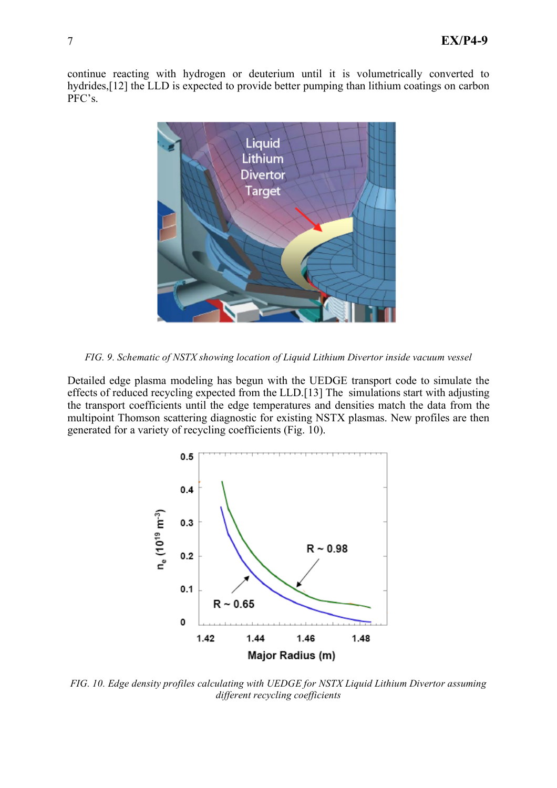continue reacting with hydrogen or deuterium until it is volumetrically converted to hydrides,[12] the LLD is expected to provide better pumping than lithium coatings on carbon PFC's.



*FIG. 9. Schematic of NSTX showing location of Liquid Lithium Divertor inside vacuum vessel*

Detailed edge plasma modeling has begun with the UEDGE transport code to simulate the effects of reduced recycling expected from the LLD.[13] The simulations start with adjusting the transport coefficients until the edge temperatures and densities match the data from the multipoint Thomson scattering diagnostic for existing NSTX plasmas. New profiles are then generated for a variety of recycling coefficients (Fig. 10).



*FIG. 10. Edge density profiles calculating with UEDGE for NSTX Liquid Lithium Divertor assuming different recycling coefficients*